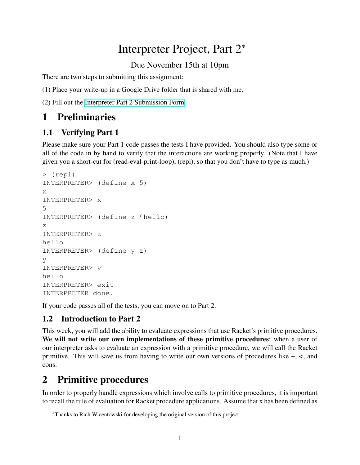# Interpreter Project, Part 2\*

Due November 15th at 10pm

There are two steps to submitting this assignment:

(1) Place your write-up in a Google Drive folder that is shared with me.

(2) Fill out the [Interpreter Part 2 Submission Form.](https://forms.gle/cTWDUxvsbpuBRE2f7)

# 1 Preliminaries

### 1.1 Verifying Part 1

Please make sure your Part 1 code passes the tests I have provided. You should also type some or all of the code in by hand to verify that the interactions are working properly. (Note that I have given you a short-cut for (read-eval-print-loop), (repl), so that you don't have to type as much.)

```
> (repl)
INTERPRETER> (define x 5)
x
INTERPRETER> x
5
INTERPRETER> (define z 'hello)
z
INTERPRETER> z
hello
INTERPRETER> (define y z)
y
INTERPRETER> y
hello
INTERPRETER> exit
INTERPRETER done.
```
If your code passes all of the tests, you can move on to Part 2.

## 1.2 Introduction to Part 2

This week, you will add the ability to evaluate expressions that use Racket's primitive procedures. We will not write our own implementations of these primitive procedures; when a user of our interpreter asks to evaluate an expression with a primitive procedure, we will call the Racket primitive. This will save us from having to write our own versions of procedures like  $+$ ,  $\lt$ , and cons.

# 2 Primitive procedures

In order to properly handle expressions which involve calls to primitive procedures, it is important to recall the rule of evaluation for Racket procedure applications. Assume that x has been defined as

<sup>\*</sup>Thanks to Rich Wicentowski for developing the original version of this project.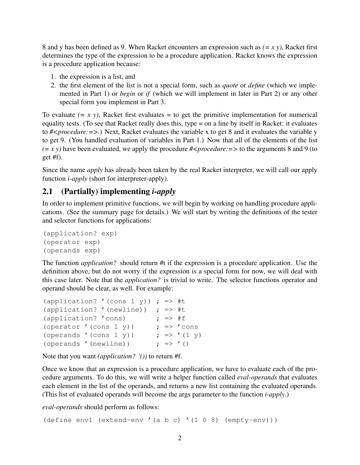8 and y has been defined as 9. When Racket encounters an expression such as *(= x y)*, Racket first determines the type of the expression to be a procedure application. Racket knows the expression is a procedure application because:

- 1. the expression is a list, and
- 2. the first element of the list is not a special form, such as *quote* or *define* (which we implemented in Part 1) or *begin* or *if* (which we will implement in later in Part 2) or any other special form you implement in Part 3.

To evaluate  $(= x, y)$ , Racket first evaluates  $=$  to get the primitive implementation for numerical equality tests. (To see that Racket really does this, type = on a line by itself in Racket: it evaluates to *#<procedure:=>*.) Next, Racket evaluates the variable x to get 8 and it evaluates the variable y to get 9. (You handled evaluation of variables in Part 1.) Now that all of the elements of the list  $(= x y)$  have been evaluated, we apply the procedure  $\#<$ *procedure*:  $=$  > to the arguments 8 and 9 (to get #f).

Since the name *apply* has already been taken by the real Racket interpreter, we will call our apply function *i-apply* (short for interpreter-apply).

#### 2.1 (Partially) implementing *i-apply*

In order to implement primitive functions, we will begin by working on handling procedure applications. (See the summary page for details.) We will start by writing the definitions of the tester and selector functions for applications:

```
(application? exp)
(operator exp)
(operands exp)
```
The function *application?* should return #t if the expression is a procedure application. Use the definition above, but do not worry if the expression is a special form for now, we will deal with this case later. Note that the *application?* is trivial to write. The selector functions operator and operand should be clear, as well. For example:

| (application? '(cons 1 y)) ; => #t |                    |                            |
|------------------------------------|--------------------|----------------------------|
| (application? '(newline))          | ; $\Rightarrow$ #t |                            |
| (application? 'cons)               | ; $\Rightarrow$ #f |                            |
| (operator '(cons 1 y))             |                    | $\gamma \Rightarrow 'cons$ |
| (operands '(cons 1 y))             |                    | ; => $'(1 \text{ y})$      |
| (operands '(newline))              |                    | ; => '()                   |

Note that you want *(application? '())* to return #f.

Once we know that an expression is a procedure application, we have to evaluate each of the procedure arguments. To do this, we will write a helper function called *eval-operands* that evaluates each element in the list of the operands, and returns a new list containing the evaluated operands. (This list of evaluated operands will become the args parameter to the function *i-apply*.)

*eval-operands* should perform as follows:

(define env1 (extend-env '(a b c) '(1 0 8) (empty-env)))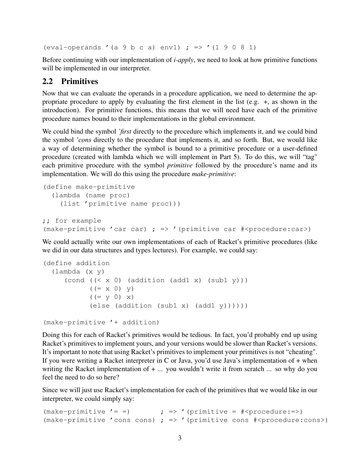(eval-operands '(a 9 b c a) env1) ; => '(1 9 0 8 1)

Before continuing with our implementation of *i-apply*, we need to look at how primitive functions will be implemented in our interpreter.

#### 2.2 Primitives

Now that we can evaluate the operands in a procedure application, we need to determine the appropriate procedure to apply by evaluating the first element in the list (e.g. +, as shown in the introduction). For primitive functions, this means that we will need have each of the primitive procedure names bound to their implementations in the global environment.

We could bind the symbol *'first* directly to the procedure which implements it, and we could bind the symbol *'cons* directly to the procedure that implements it, and so forth. But, we would like a way of determining whether the symbol is bound to a primitive procedure or a user-defined procedure (created with lambda which we will implement in Part 5). To do this, we will "tag" each primitive procedure with the symbol *primitive* followed by the procedure's name and its implementation. We will do this using the procedure *make-primitive*:

```
(define make-primitive
  (lambda (name proc)
    (list 'primitive name proc)))
;; for example
(make-primitive 'car car) ; => '(primitive car #<procedure:car>)
```
We could actually write our own implementations of each of Racket's primitive procedures (like we did in our data structures and types lectures). For example, we could say:

```
(define addition
  (lambda (x y)
      (cond ((\langle x 0 \rangle \cdot (addition \cdot (add1 \cdot x) \cdot (sub1 \cdot y)))((= x 0) y)((= y 0) x)\text{(else (addition (sub1 x) (add1 y))))})
```

```
(make-primitive '+ addition)
```
Doing this for each of Racket's primitives would be tedious. In fact, you'd probably end up using Racket's primitives to implement yours, and your versions would be slower than Racket's versions. It's important to note that using Racket's primitives to implement your primitives is not "cheating". If you were writing a Racket interpreter in C or Java, you'd use Java's implementation of + when writing the Racket implementation of + ... you wouldn't write it from scratch ... so why do you feel the need to do so here?

Since we will just use Racket's implementation for each of the primitives that we would like in our interpreter, we could simply say:

```
(make-primitive' = =) ; => '(primitive = #<procedure:=>)
(make-primitive 'cons cons) ; => '(primitive cons \#<procedure:cons>)
```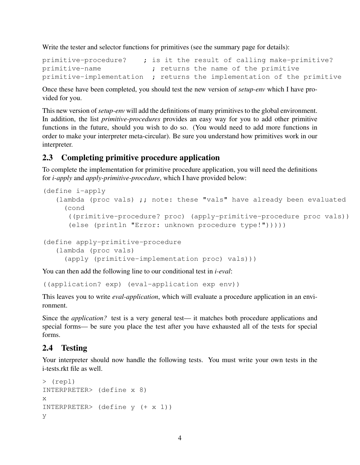Write the tester and selector functions for primitives (see the summary page for details):

```
primitive-procedure? ; is it the result of calling make-primitive?
primitive-name ; returns the name of the primitive
primitive-implementation ; returns the implementation of the primitive
```
Once these have been completed, you should test the new version of *setup-env* which I have provided for you.

This new version of*setup-env* will add the definitions of many primitives to the global environment. In addition, the list *primitive-procedures* provides an easy way for you to add other primitive functions in the future, should you wish to do so. (You would need to add more functions in order to make your interpreter meta-circular). Be sure you understand how primitives work in our interpreter.

#### 2.3 Completing primitive procedure application

To complete the implementation for primitive procedure application, you will need the definitions for *i-apply* and *apply-primitive-procedure*, which I have provided below:

```
(define i-apply
   (lambda (proc vals) \boldsymbol{j}; note: these "vals" have already been evaluated
     (cond
      ((primitive-procedure? proc) (apply-primitive-procedure proc vals))
      (else (println "Error: unknown procedure type!")))))
```

```
(define apply-primitive-procedure
   (lambda (proc vals)
     (apply (primitive-implementation proc) vals)))
```
You can then add the following line to our conditional test in *i-eval*:

((application? exp) (eval-application exp env))

This leaves you to write *eval-application*, which will evaluate a procedure application in an environment.

Since the *application?* test is a very general test— it matches both procedure applications and special forms— be sure you place the test after you have exhausted all of the tests for special forms.

#### 2.4 Testing

Your interpreter should now handle the following tests. You must write your own tests in the i-tests.rkt file as well.

```
> (repl)
INTERPRETER> (define x 8)
x
INTERPRETER> (define y (+ x 1))
y
```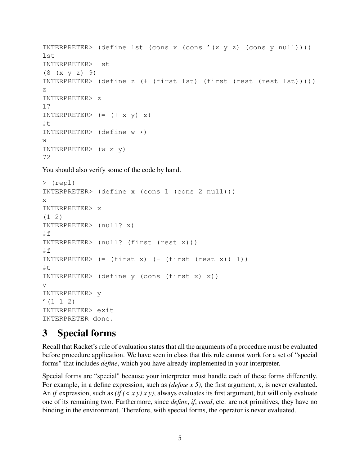```
INTERPRETER> (define lst (cons x (cons '(x y z) (cons y null))))
lst
INTERPRETER> lst
(8 (x y z) 9)
INTERPRETER> (define z (+ (first lst) (first (rest (rest lst)))))
z
INTERPRETER> z
17
INTERPRETER> (= + x y) z)#t
INTERPRETER> (define w *)
W
INTERPRETER> (w x y)
72
```
You should also verify some of the code by hand.

```
> (repl)
INTERPRETER> (define x (cons 1 (cons 2 null)))
x
INTERPRETER> x
(1 2)
INTERPRETER> (null? x)
#f
INTERPRETER> (null? (first (rest x)))
#f
INTERPRETER> (= (first x) (- (first (rest x)) 1)#t
INTERPRETER> (define y (cons (first x) x))
y
INTERPRETER> y
(1 \ 1 \ 2)INTERPRETER> exit
INTERPRETER done.
```
## 3 Special forms

Recall that Racket's rule of evaluation states that all the arguments of a procedure must be evaluated before procedure application. We have seen in class that this rule cannot work for a set of "special forms" that includes *define*, which you have already implemented in your interpreter.

Special forms are "special" because your interpreter must handle each of these forms differently. For example, in a define expression, such as *(define x 5)*, the first argument, x, is never evaluated. An *if* expression, such as *(if (< x y) x y)*, always evaluates its first argument, but will only evaluate one of its remaining two. Furthermore, since *define*, *if*, *cond*, etc. are not primitives, they have no binding in the environment. Therefore, with special forms, the operator is never evaluated.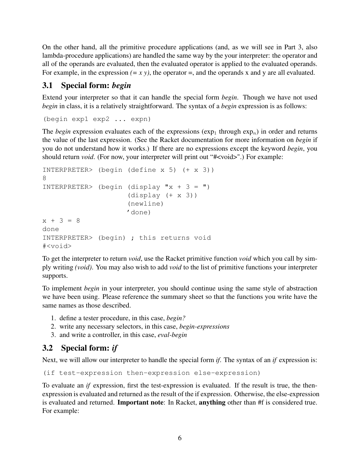On the other hand, all the primitive procedure applications (and, as we will see in Part 3, also lambda-procedure applications) are handled the same way by the your interpreter: the operator and all of the operands are evaluated, then the evaluated operator is applied to the evaluated operands. For example, in the expression  $(= x y)$ , the operator  $=$ , and the operands x and y are all evaluated.

#### 3.1 Special form: *begin*

Extend your interpreter so that it can handle the special form *begin*. Though we have not used *begin* in class, it is a relatively straightforward. The syntax of a *begin* expression is as follows:

```
(begin exp1 exp2 ... expn)
```
The *begin* expression evaluates each of the expressions ( $\exp_1$  through  $\exp_n$ ) in order and returns the value of the last expression. (See the Racket documentation for more information on *begin* if you do not understand how it works.) If there are no expressions except the keyword *begin*, you should return *void*. (For now, your interpreter will print out "#<void>".) For example:

```
INTERPRETER> (begin (define x 5) (+ x 3))
8
INTERPRETER> (begin (display "x + 3 = ")
                    (display (+ x 3))(newline)
                    'done)
x + 3 = 8done
INTERPRETER> (begin) ; this returns void
#<void>
```
To get the interpreter to return *void*, use the Racket primitive function *void* which you call by simply writing *(void)*. You may also wish to add *void* to the list of primitive functions your interpreter supports.

To implement *begin* in your interpreter, you should continue using the same style of abstraction we have been using. Please reference the summary sheet so that the functions you write have the same names as those described.

- 1. define a tester procedure, in this case, *begin?*
- 2. write any necessary selectors, in this case, *begin-expressions*
- 3. and write a controller, in this case, *eval-begin*

### 3.2 Special form: *if*

Next, we will allow our interpreter to handle the special form *if*. The syntax of an *if* expression is:

(if test-expression then-expression else-expression)

To evaluate an *if* expression, first the test-expression is evaluated. If the result is true, the thenexpression is evaluated and returned as the result of the if expression. Otherwise, the else-expression is evaluated and returned. Important note: In Racket, anything other than #f is considered true. For example: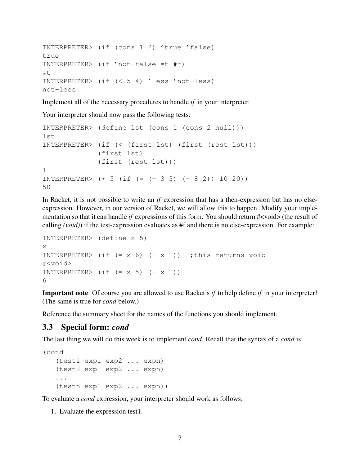```
INTERPRETER> (if (cons 1 2) 'true 'false)
true
INTERPRETER> (if 'not-false #t #f)
#t
INTERPRETER> (if (< 5 4) 'less 'not-less)
not-less
```
Implement all of the necessary procedures to handle *if* in your interpreter.

Your interpreter should now pass the following tests:

```
INTERPRETER> (define lst (cons 1 (cons 2 null)))
lst
INTERPRETER> (if (< (first lst) (first (rest lst)))
             (first lst)
             (first (rest lst)))
1
INTERPRETER> (* 5 (if (= (+ 3 3) (- 8 2)) 10 20))50
```
In Racket, it is not possible to write an *if* expression that has a then-expression but has no elseexpression. However, in our version of Racket, we will allow this to happen. Modify your implementation so that it can handle *if* expressions of this form. You should return #<void> (the result of calling *(void)*) if the test-expression evaluates as #f and there is no else-expression. For example:

```
INTERPRETER> (define x 5)
x
INTERPRETER> (if (= x 6) (+ x 1)) ; this returns void
#<void>
INTERPRETER> (if (= x 5) (+ x 1))6
```
Important note: Of course you are allowed to use Racket's *if* to help define *if* in your interpreter! (The same is true for *cond* below.)

Reference the summary sheet for the names of the functions you should implement.

#### 3.3 Special form: *cond*

The last thing we will do this week is to implement *cond*. Recall that the syntax of a *cond* is:

```
(cond
   (test1 exp1 exp2 ... expn)
   (test2 exp1 exp2 ... expn)
   ...
   (testn exp1 exp2 ... expn))
```
To evaluate a *cond* expression, your interpreter should work as follows:

1. Evaluate the expression test1.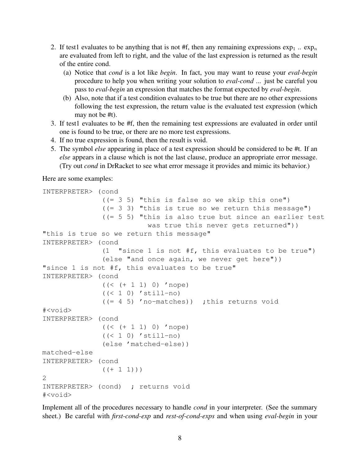- 2. If test1 evaluates to be anything that is not #f, then any remaining expressions  $\exp_1$  ..  $\exp_n$ are evaluated from left to right, and the value of the last expression is returned as the result of the entire cond.
	- (a) Notice that *cond* is a lot like *begin*. In fact, you may want to reuse your *eval-begin* procedure to help you when writing your solution to *eval-cond* ... just be careful you pass to *eval-begin* an expression that matches the format expected by *eval-begin*.
	- (b) Also, note that if a test condition evaluates to be true but there are no other expressions following the test expression, the return value is the evaluated test expression (which may not be #t).
- 3. If test1 evaluates to be #f, then the remaining test expressions are evaluated in order until one is found to be true, or there are no more test expressions.
- 4. If no true expression is found, then the result is void.
- 5. The symbol *else* appearing in place of a test expression should be considered to be #t. If an *else* appears in a clause which is not the last clause, produce an appropriate error message. (Try out *cond* in DrRacket to see what error message it provides and mimic its behavior.)

Here are some examples:

```
INTERPRETER> (cond
              ((= 3 5) "this is false so we skip this one")
              (1 = 3 3) "this is true so we return this message")
              (1 = 5 5) "this is also true but since an earlier test
                         was true this never gets returned"))
"this is true so we return this message"
INTERPRETER> (cond
              (1 "since 1 is not #f, this evaluates to be true")
              (else "and once again, we never get here"))
"since 1 is not #f, this evaluates to be true"
INTERPRETER> (cond
              ((\leq (+ 1 1) 0) 'nope)
              ((< 1 0) 'still-no)
              ((= 4 5) 'no-matches)) ; this returns void
#<void>
INTERPRETER> (cond
              ((< (+ 1 1) 0) 'nope)
              ((< 1 0) 'still-no)
              (else 'matched-else))
matched-else
INTERPRETER> (cond
              (( + 1 1))2
INTERPRETER> (cond) ; returns void
#<void>
```
Implement all of the procedures necessary to handle *cond* in your interpreter. (See the summary sheet.) Be careful with *first-cond-exp* and *rest-of-cond-exps* and when using *eval-begin* in your